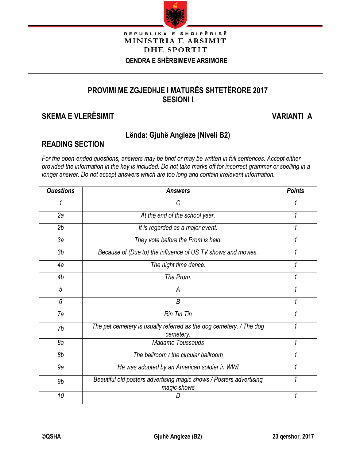

#### REPUBLIKA E SHQIPËRISË MINISTRIA E ARSIMIT **DHE SPORTIT QENDRA E SHËRBIMEVE ARSIMORE**

## **PROVIMI ME ZGJEDHJE I MATURËS SHTETËRORE 2017 SESIONI I**

## **SKEMA E VLERËSIMIT VARIANTI A**

İ

### **Lënda: Gjuhë Angleze (Niveli B2)**

### **READING SECTION**

*For the open-ended questions, answers may be brief or may be written in full sentences. Accept either provided the information in the key is included. Do not take marks off for incorrect grammar or spelling in a longer answer. Do not accept answers which are too long and contain irrelevant information.*

| <b>Questions</b> | <b>Answers</b>                                                                     | <b>Points</b> |
|------------------|------------------------------------------------------------------------------------|---------------|
| 1                | С                                                                                  |               |
| 2a               | At the end of the school year.                                                     |               |
| 2b               | It is regarded as a major event.                                                   |               |
| 3a               | They vote before the Prom is held.                                                 |               |
| 3 <sub>b</sub>   | Because of (Due to) the influence of US TV shows and movies.                       |               |
| 4a               | The night time dance.                                                              |               |
| 4b               | The Prom.                                                                          |               |
| 5                | А                                                                                  |               |
| 6                | B                                                                                  |               |
| 7a               | <b>Rin Tin Tin</b>                                                                 |               |
| 7b               | The pet cemetery is usually referred as the dog cemetery. / The dog<br>cemetery.   |               |
| 8a               | <b>Madame Toussauds</b>                                                            | 1             |
| 8b               | The ballroom / the circular ballroom                                               |               |
| 9a               | He was adopted by an American soldier in WWI                                       |               |
| 9b               | Beautiful old posters advertising magic shows / Posters advertising<br>magic shows |               |
| 10               |                                                                                    |               |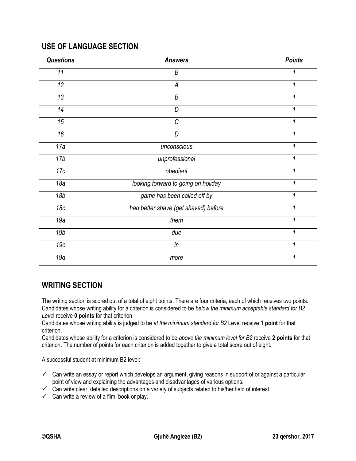### **USE OF LANGUAGE SECTION**

| <b>Questions</b> | <b>Points</b><br><b>Answers</b>      |   |
|------------------|--------------------------------------|---|
| 11               | B                                    | 1 |
| 12               | A                                    | 1 |
| $\overline{13}$  | B                                    | 1 |
| 14               | D                                    | 1 |
| 15               | $\cal C$                             | 1 |
| 16               | D                                    | 1 |
| 17a              | unconscious                          | 1 |
| 17 <sub>b</sub>  | unprofessional                       | 1 |
| 17c              | obedient                             | 1 |
| 18a              | looking forward to going on holiday  | 1 |
| 18b              | game has been called off by          | 1 |
| 18 <sub>c</sub>  | had better shave (get shaved) before | 1 |
| 19a              | them                                 | 1 |
| 19 <sub>b</sub>  | due                                  | 1 |
| 19c              | in                                   | 1 |
| 19d              | more                                 | 1 |

#### **WRITING SECTION**

The writing section is scored out of a total of eight points. There are four criteria, each of which receives two points. Candidates whose writing ability for a criterion is considered to be *below the minimum acceptable standard for B2 Leve*l receive **0 points** for that criterion.

Candidates whose writing ability is judged to be *at the minimum standard for B2* Level receive **1 point** for that criterion.

Candidates whose ability for a criterion is considered to be *above the minimum level for B2* receive **2 points** for that criterion. The number of points for each criterion is added together to give a total score out of eight.

A successful student at minimum B2 level:

- $\checkmark$  Can write an essay or report which develops an argument, giving reasons in support of or against a particular point of view and explaining the advantages and disadvantages of various options.
- $\checkmark$  Can write clear, detailed descriptions on a variety of subjects related to his/her field of interest.
- $\checkmark$  Can write a review of a film, book or play.